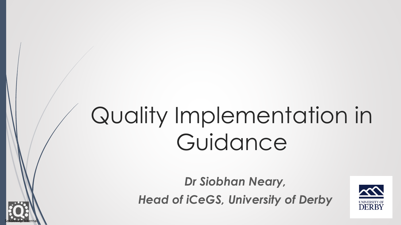# Quality Implementation in Guidance

*Dr Siobhan Neary, Head of iCeGS, University of Derby* 

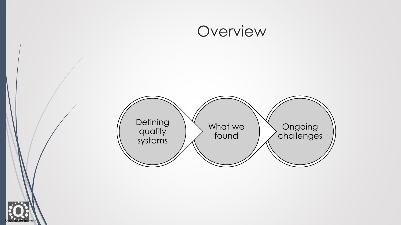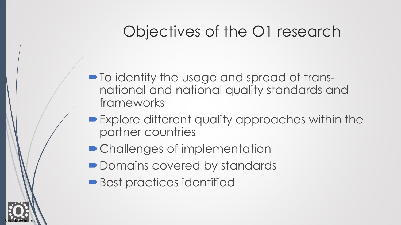# Objectives of the O1 research

- $\blacksquare$  To identify the usage and spread of transnational and national quality standards and frameworks
- Explore different quality approaches within the partner countries
- Challenges of implementation
- Domains covered by standards
- Best practices identified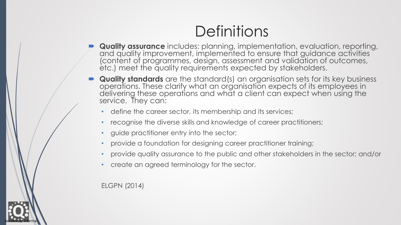# **Definitions**

- **Quality assurance** includes: planning, implementation, evaluation, reporting, and quality improvement, implemented to ensure that guidance activities (content of programmes, design, assessment and validation of outcomes, etc.) meet the quality requirements expected by stakeholders.
- **Quality standards** are the standard(s) an organisation sets for its key business operations. These clarify what an organisation expects of its employees in delivering these operations and what a client can expect when using the service. They can:
	- define the career sector, its membership and its services;
	- recognise the diverse skills and knowledge of career practitioners;
	- guide practitioner entry into the sector;
	- provide a foundation for designing career practitioner training;
	- provide quality assurance to the public and other stakeholders in the sector; and/or
	- create an agreed terminology for the sector.

ELGPN (2014)

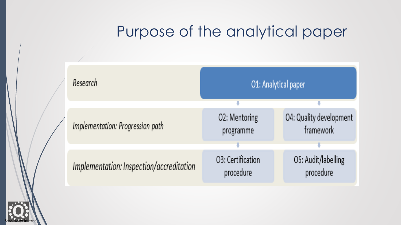## Purpose of the analytical paper



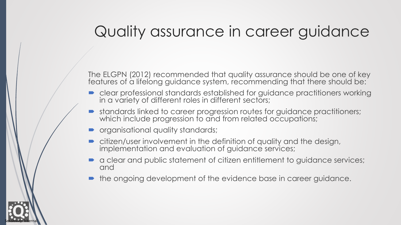### Quality assurance in career guidance

The ELGPN (2012) recommended that quality assurance should be one of key features of a lifelong guidance system, recommending that there should be:

- clear professional standards established for guidance practitioners working in a variety of different roles in different sectors;
- standards linked to career progression routes for guidance practitioners; which include progression to and from related occupations;
- $\blacksquare$  organisational quality standards;

- citizen/user involvement in the definition of quality and the design, implementation and evaluation of guidance services;
- a clear and public statement of citizen entitlement to guidance services; and
- the ongoing development of the evidence base in career guidance.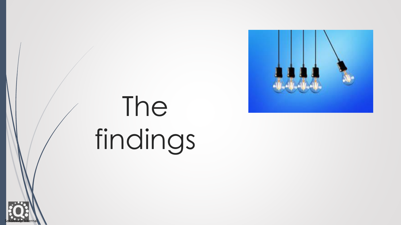

# The findings

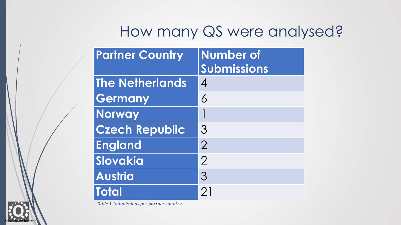### How many QS were analysed?

| <b>Partner Country</b> | <b>Number of</b><br>Submissions |
|------------------------|---------------------------------|
| <b>The Netherlands</b> | $\boldsymbol{\varLambda}$       |
| Germany                | $\overline{6}$                  |
| <b>Norway</b>          |                                 |
| <b>Czech Republic</b>  | 3                               |
| <b>England</b>         | $\overline{2}$                  |
| Slovakia               | $\overline{2}$                  |
| <b>Austria</b>         | 3                               |
| <b>Total</b>           | 21                              |

*Table 1. Submissions per partner country.*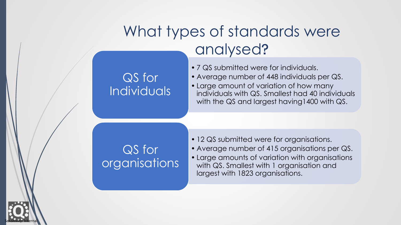#### QS for Individuals

#### • 7 QS submitted were for individuals.

- Average number of 448 individuals per QS.
- Large amount of variation of how many individuals with QS. Smallest had 40 individuals with the QS and largest having1400 with QS.

#### QS for organisations

- 12 QS submitted were for organisations.
- Average number of 415 organisations per QS.
- Large amounts of variation with organisations with QS. Smallest with 1 organisation and largest with 1823 organisations.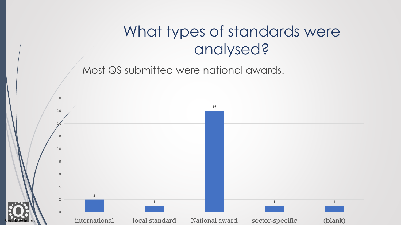Most QS submitted were national awards.

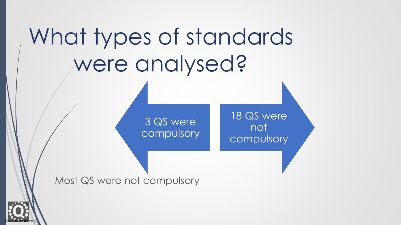3 QS were compulsory

18 QS were not compulsory

Most QS were not compulsory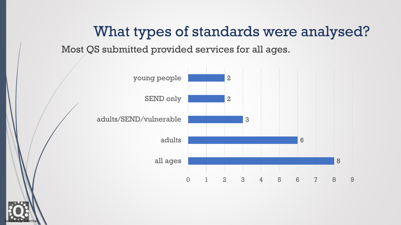Most QS submitted provided services for all ages.



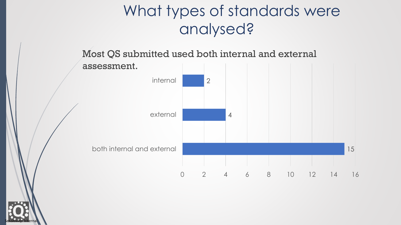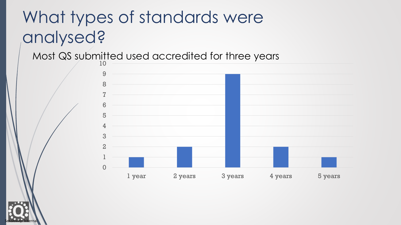#### Most QS submitted used accredited for three years



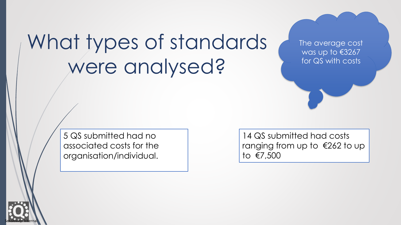The average cost was up to €3267 for QS with costs

5 QS submitted had no associated costs for the organisation/individual.

14 QS submitted had costs ranging from up to €262 to up to €7,500

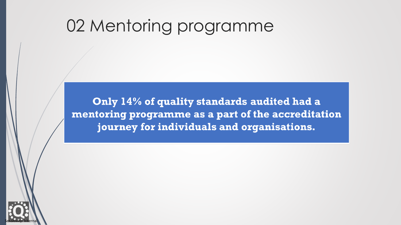Only 14% of quality standards audited had a mentoring programme as a part of the accreditation journey for individuals and organisations.

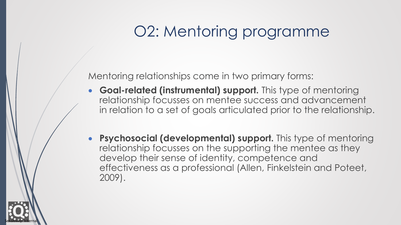Mentoring relationships come in two primary forms:

- **Goal-related (instrumental) support.** This type of mentoring relationship focusses on mentee success and advancement in relation to a set of goals articulated prior to the relationship.
- **Psychosocial (developmental) support.** This type of mentoring relationship focusses on the supporting the mentee as they develop their sense of identity, competence and effectiveness as a professional (Allen, Finkelstein and Poteet, 2009).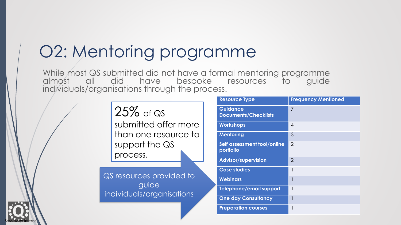While most QS submitted did not have a formal mentoring programme almost all did have bespoke resources to guide individuals/organisations through the process.

> 25% of QS submitted offer more than one resource to support the QS process.

QS resources provided to guide individuals/organisations

| <b>Resource Type</b>                           | <b>Frequency Mentioned</b> |
|------------------------------------------------|----------------------------|
| <b>Guidance</b><br><b>Documents/Checklists</b> | 7                          |
| <b>Workshops</b>                               | 4                          |
| <b>Mentoring</b>                               | 3                          |
| Self assessment tool/online<br>portfolio       | $\overline{2}$             |
| <b>Advisor/supervision</b>                     | $\mathcal{P}$              |
| <b>Case studies</b>                            |                            |
| <b>Webinars</b>                                |                            |
| Telephone/email support                        | 1                          |
| <b>One day Consultancy</b>                     | 1                          |
| <b>Preparation courses</b>                     |                            |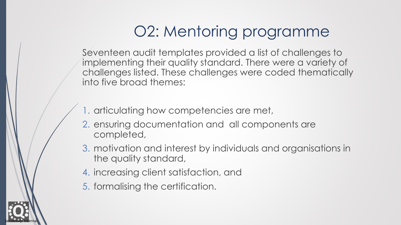Seventeen audit templates provided a list of challenges to implementing their quality standard. There were a variety of challenges listed. These challenges were coded thematically into five broad themes:

- 1. articulating how competencies are met,
- 2. ensuring documentation and all components are completed,
- 3. motivation and interest by individuals and organisations in the quality standard,
- 4. increasing client satisfaction, and
- 5. formalising the certification.

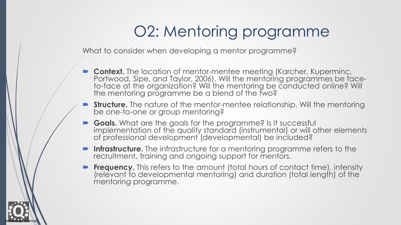What to consider when developing a mentor programme?

- **Context.** The location of mentor-mentee meeting (Karcher, Kuperminc, Portwood, Sipe, and Taylor, 2006). Will the mentoring programmes be faceto-face at the organization? Will the mentoring be conducted online? Will the mentoring programme be a blend of the two?
- **Structure.** The nature of the mentor-mentee relationship. Will the mentoring be one-to-one or group mentoring?
- **Goals.** What are the goals for the programme? Is it successful implementation of the quality standard (instrumental) or will other elements of professional development (developmental) be included?
- **Infrastructure.** The infrastructure for a mentoring programme refers to the recruitment, training and ongoing support for mentors.
- **Frequency.** This refers to the amount (total hours of contact time), intensity (relevant to developmental mentoring) and duration (total length) of the mentoring programme.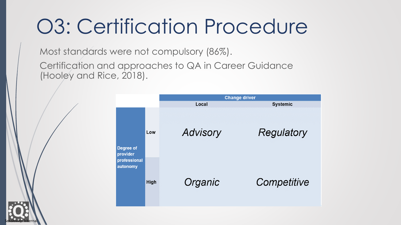# O3: Certification Procedure

Most standards were not compulsory (86%).

Sensitivity: Internal

Certification and approaches to QA in Career Guidance (Hooley and Rice, 2018).

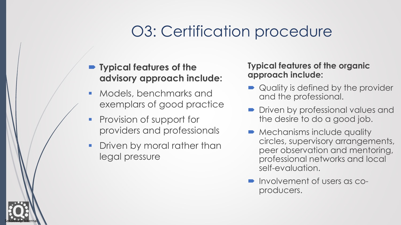# O3: Certification procedure

- **Typical features of the advisory approach include:**
- Models, benchmarks and exemplars of good practice
- **Provision of support for** providers and professionals
- **Driven by moral rather than** legal pressure

Sensitivity: Internal

**Typical features of the organic approach include:**

- Quality is defined by the provider and the professional.
- **Driven by professional values and** the desire to do a good job.
- **Mechanisms include quality** circles, supervisory arrangements, peer observation and mentoring, professional networks and local self-evaluation.
- Involvement of users as coproducers.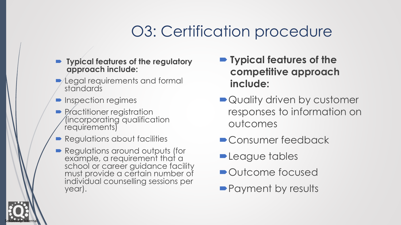# O3: Certification procedure

- **Typical features of the regulatory approach include:**
- **-** Legal requirements and formal standards
- **Inspection regimes**

- **Practitioner registration** (incorporating qualification requirements)
- **Regulations about facilities**
- Regulations around outputs (for example, a requirement that a school or career guidance facility must provide a certain number of individual counselling sessions per year).
- **Typical features of the competitive approach include:**
- Quality driven by customer responses to information on outcomes
- Consumer feedback
- **League tables**
- Outcome focused
- Payment by results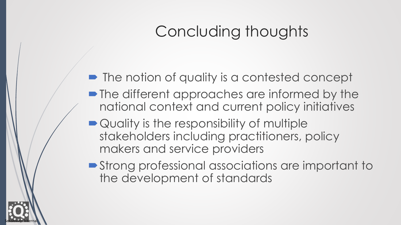# Concluding thoughts

- The notion of quality is a contested concept
- The different approaches are informed by the national context and current policy initiatives
- Quality is the responsibility of multiple stakeholders including practitioners, policy makers and service providers

Sensitivity: Internal

■ Strong professional associations are important to the development of standards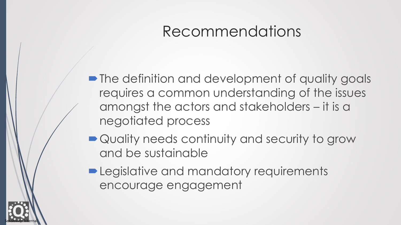## Recommendations

• The definition and development of quality goals requires a common understanding of the issues amongst the actors and stakeholders – it is a negotiated process

- Quality needs continuity and security to grow and be sustainable
- **-Legislative and mandatory requirements** encourage engagement

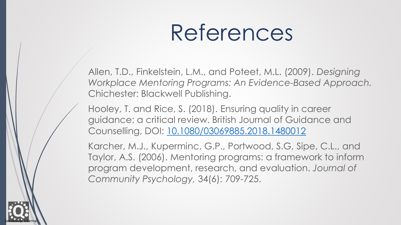# References

Allen, T.D., Finkelstein, L.M., and Poteet, M.L. (2009). *Designing Workplace Mentoring Programs: An Evidence-Based Approach.*  Chichester: Blackwell Publishing.

Hooley, T. and Rice, S. (2018). Ensuring quality in career guidance: a critical review. British Journal of Guidance and Counselling, DOI: [10.1080/03069885.2018.1480012](https://doi.org/10.1080/03069885.2018.1480012)

Karcher, M.J., Kuperminc, G.P., Portwood, S.G, Sipe, C.L., and Taylor, A.S. (2006). Mentoring programs: a framework to inform program development, research, and evaluation. *Journal of Community Psychology,* 34(6): 709-725.